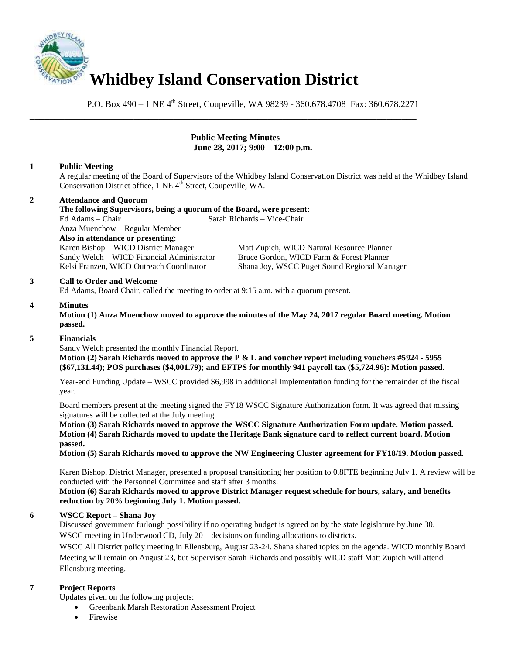

P.O. Box 490 – 1 NE 4<sup>th</sup> Street, Coupeville, WA 98239 - 360.678.4708 Fax: 360.678.2271

\_\_\_\_\_\_\_\_\_\_\_\_\_\_\_\_\_\_\_\_\_\_\_\_\_\_\_\_\_\_\_\_\_\_\_\_\_\_\_\_\_\_\_\_\_\_\_\_\_\_\_\_\_\_\_\_\_\_\_\_\_\_\_\_\_\_\_\_\_\_\_\_\_\_\_\_\_\_

#### **Public Meeting Minutes June 28, 2017; 9:00 – 12:00 p.m.**

## **1 Public Meeting**

A regular meeting of the Board of Supervisors of the Whidbey Island Conservation District was held at the Whidbey Island Conservation District office, 1 NE 4<sup>th</sup> Street, Coupeville, WA.

# **2 Attendance and Quorum**

**The following Supervisors, being a quorum of the Board, were present**: Ed Adams – Chair Sarah Richards – Vice-Chair Anza Muenchow – Regular Member **Also in attendance or presenting**: Karen Bishop – WICD District Manager Matt Zupich, WICD Natural Resource Planner Sandy Welch – WICD Financial Administrator Bruce Gordon, WICD Farm & Forest Planner Kelsi Franzen, WICD Outreach Coordinator Shana Joy, WSCC Puget Sound Regional Manager

#### **3 Call to Order and Welcome**

Ed Adams, Board Chair, called the meeting to order at 9:15 a.m. with a quorum present.

#### **4 Minutes**

**Motion (1) Anza Muenchow moved to approve the minutes of the May 24, 2017 regular Board meeting. Motion passed.** 

#### **5 Financials**

Sandy Welch presented the monthly Financial Report.

 **Motion (2) Sarah Richards moved to approve the P & L and voucher report including vouchers #5924 - 5955 (\$67,131.44); POS purchases (\$4,001.79); and EFTPS for monthly 941 payroll tax (\$5,724.96): Motion passed.** 

Year-end Funding Update – WSCC provided \$6,998 in additional Implementation funding for the remainder of the fiscal year.

Board members present at the meeting signed the FY18 WSCC Signature Authorization form. It was agreed that missing signatures will be collected at the July meeting.

**Motion (3) Sarah Richards moved to approve the WSCC Signature Authorization Form update. Motion passed. Motion (4) Sarah Richards moved to update the Heritage Bank signature card to reflect current board. Motion passed.** 

**Motion (5) Sarah Richards moved to approve the NW Engineering Cluster agreement for FY18/19. Motion passed.** 

Karen Bishop, District Manager, presented a proposal transitioning her position to 0.8FTE beginning July 1. A review will be conducted with the Personnel Committee and staff after 3 months.

**Motion (6) Sarah Richards moved to approve District Manager request schedule for hours, salary, and benefits reduction by 20% beginning July 1. Motion passed.** 

#### **6 WSCC Report – Shana Joy**

Discussed government furlough possibility if no operating budget is agreed on by the state legislature by June 30. WSCC meeting in Underwood CD, July 20 – decisions on funding allocations to districts.

WSCC All District policy meeting in Ellensburg, August 23-24. Shana shared topics on the agenda. WICD monthly Board Meeting will remain on August 23, but Supervisor Sarah Richards and possibly WICD staff Matt Zupich will attend Ellensburg meeting.

#### **7 Project Reports**

Updates given on the following projects:

- Greenbank Marsh Restoration Assessment Project
- Firewise